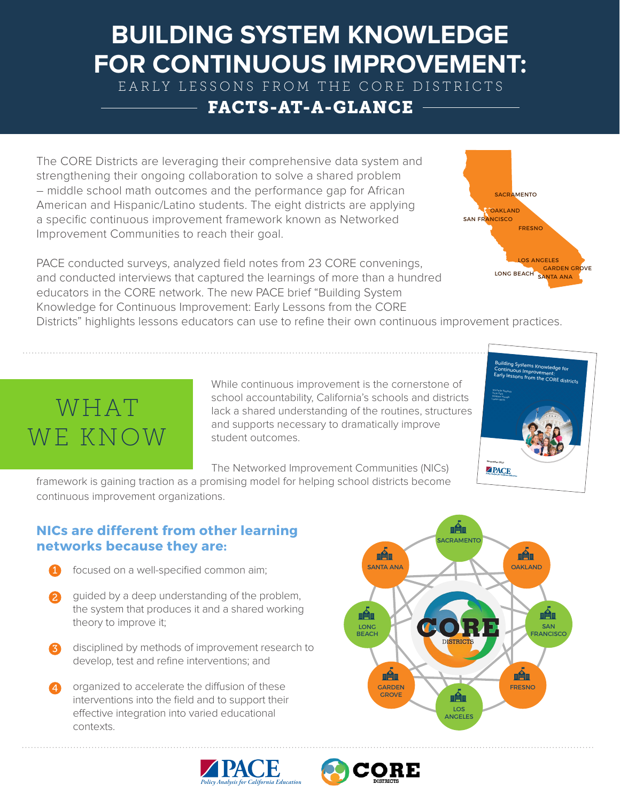### **BUILDING SYSTEM KNOWLEDGE FOR CONTINUOUS IMPROVEMENT:**

EARLY LESSONS FROM THE CORE DISTRICTS

#### FACTS-AT-A-GLANCE

The CORE Districts are leveraging their comprehensive data system and strengthening their ongoing collaboration to solve a shared problem – middle school math outcomes and the performance gap for African American and Hispanic/Latino students. The eight districts are applying a specific continuous improvement framework known as Networked Improvement Communities to reach their goal.

PACE conducted surveys, analyzed field notes from 23 CORE convenings, and conducted interviews that captured the learnings of more than a hundred educators in the CORE network. The new PACE brief "Building System Knowledge for Continuous Improvement: Early Lessons from the CORE

Districts" highlights lessons educators can use to refine their own continuous improvement practices.

# WHAT WE KNOW

While continuous improvement is the cornerstone of school accountability, California's schools and districts lack a shared understanding of the routines, structures and supports necessary to dramatically improve student outcomes.

The Networked Improvement Communities (NICs)

framework is gaining traction as a promising model for helping school districts become continuous improvement organizations.

#### **NICs are different from other learning networks because they are:**

- focused on a well-specified common aim;
- guided by a deep understanding of the problem, the system that produces it and a shared working theory to improve it; 2
- disciplined by methods of improvement research to develop, test and refine interventions; and 6
- organized to accelerate the diffusion of these interventions into the field and to support their effective integration into varied educational contexts. 4